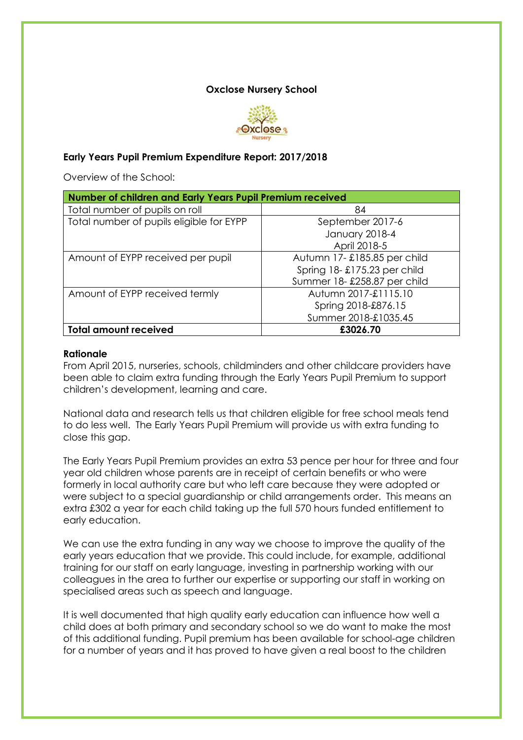#### **Oxclose Nursery School**



### **Early Years Pupil Premium Expenditure Report: 2017/2018**

Overview of the School:

| Number of children and Early Years Pupil Premium received |                             |  |  |
|-----------------------------------------------------------|-----------------------------|--|--|
| Total number of pupils on roll                            | 84                          |  |  |
| Total number of pupils eligible for EYPP                  | September 2017-6            |  |  |
|                                                           | <b>January 2018-4</b>       |  |  |
|                                                           | April 2018-5                |  |  |
| Amount of EYPP received per pupil                         | Autumn 17-£185.85 per child |  |  |
|                                                           | Spring 18-£175.23 per child |  |  |
|                                                           | Summer 18-£258.87 per child |  |  |
| Amount of EYPP received termly                            | Autumn 2017-£1115.10        |  |  |
|                                                           | Spring 2018-£876.15         |  |  |
|                                                           | Summer 2018-£1035.45        |  |  |
| <b>Total amount received</b>                              | £3026.70                    |  |  |

#### **Rationale**

From April 2015, nurseries, schools, childminders and other childcare providers have been able to claim extra funding through the Early Years Pupil Premium to support children's development, learning and care.

National data and research tells us that children eligible for free school meals tend to do less well. The Early Years Pupil Premium will provide us with extra funding to close this gap.

The Early Years Pupil Premium provides an extra 53 pence per hour for three and four year old children whose parents are in receipt of certain benefits or who were formerly in local authority care but who left care because they were adopted or were subject to a special guardianship or child arrangements order. This means an extra £302 a year for each child taking up the full 570 hours funded entitlement to early education.

We can use the extra funding in any way we choose to improve the quality of the early years education that we provide. This could include, for example, additional training for our staff on early language, investing in partnership working with our colleagues in the area to further our expertise or supporting our staff in working on specialised areas such as speech and language.

It is well documented that high quality early education can influence how well a child does at both primary and secondary school so we do want to make the most of this additional funding. Pupil premium has been available for school-age children for a number of years and it has proved to have given a real boost to the children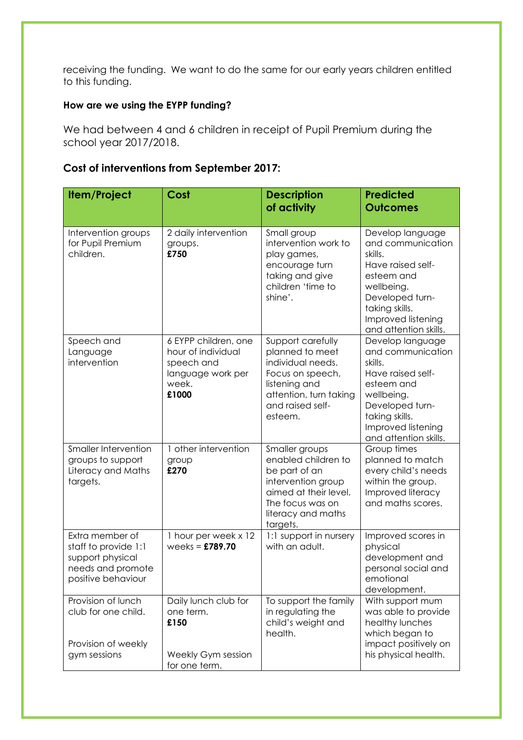receiving the funding. We want to do the same for our early years children entitled to this funding.

# **How are we using the EYPP funding?**

We had between 4 and 6 children in receipt of Pupil Premium during the school year 2017/2018.

## **Cost of interventions from September 2017:**

| <b>Item/Project</b>                                                                                    | Cost                                                                                            | <b>Description</b><br>of activity                                                                                                                           | <b>Predicted</b><br><b>Outcomes</b>                                                                                                                                                   |
|--------------------------------------------------------------------------------------------------------|-------------------------------------------------------------------------------------------------|-------------------------------------------------------------------------------------------------------------------------------------------------------------|---------------------------------------------------------------------------------------------------------------------------------------------------------------------------------------|
|                                                                                                        |                                                                                                 |                                                                                                                                                             |                                                                                                                                                                                       |
| Intervention groups<br>for Pupil Premium<br>children.                                                  | 2 daily intervention<br>groups.<br>£750                                                         | Small group<br>intervention work to<br>play games,<br>encourage turn<br>taking and give<br>children 'time to<br>shine'.                                     | Develop language<br>and communication<br>skills.<br>Have raised self-<br>esteem and<br>wellbeing.<br>Developed turn-<br>taking skills.<br>Improved listening<br>and attention skills. |
| Speech and<br>Language<br>intervention                                                                 | 6 EYPP children, one<br>hour of individual<br>speech and<br>language work per<br>week.<br>£1000 | Support carefully<br>planned to meet<br>individual needs.<br>Focus on speech,<br>listening and<br>attention, turn taking<br>and raised self-<br>esteem.     | Develop language<br>and communication<br>skills.<br>Have raised self-<br>esteem and<br>wellbeing.<br>Developed turn-<br>taking skills.<br>Improved listening<br>and attention skills. |
| Smaller Intervention<br>groups to support<br>Literacy and Maths<br>targets.                            | 1 other intervention<br>group<br>£270                                                           | Smaller groups<br>enabled children to<br>be part of an<br>intervention group<br>aimed at their level.<br>The focus was on<br>literacy and maths<br>targets. | Group times<br>planned to match<br>every child's needs<br>within the group.<br>Improved literacy<br>and maths scores.                                                                 |
| Extra member of<br>staff to provide 1:1<br>support physical<br>needs and promote<br>positive behaviour | 1 hour per week x 12<br>weeks = $£789.70$                                                       | 1:1 support in nursery<br>with an adult.                                                                                                                    | Improved scores in<br>physical<br>development and<br>personal social and<br>emotional<br>development.                                                                                 |
| Provision of lunch<br>club for one child.<br>Provision of weekly<br>gym sessions                       | Daily lunch club for<br>one term.<br>£150<br>Weekly Gym session<br>for one term.                | To support the family<br>in regulating the<br>child's weight and<br>health.                                                                                 | With support mum<br>was able to provide<br>healthy lunches<br>which began to<br>impact positively on<br>his physical health.                                                          |